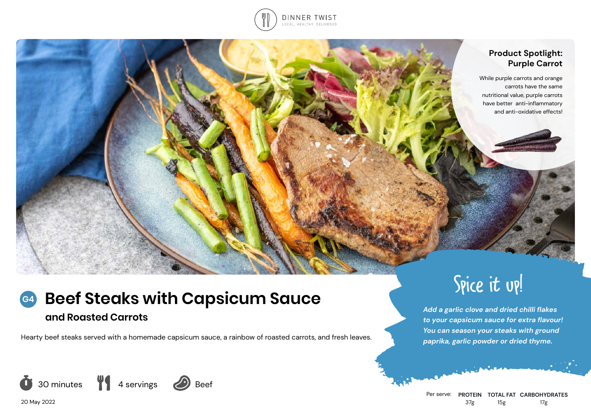

# **Product Spotlight: Purple Carrot**

While purple carrots and orange carrots have the same nutritional value, purple carrots have better anti-inflammatory and anti-oxidative effects!

# **Beef Steaks with Capsicum Sauce and Roasted Carrots** *Add a garlic clove and dried chilli flakes Add a garlic clove and dried chilli flakes* **<b>***Add a garlic clove and dried chilli flakes* **G4**

Hearty beef steaks served with a homemade capsicum sauce, a rainbow of roasted carrots, and fresh leaves.



# Spice it up!

*to your capsicum sauce for extra flavour! You can season your steaks with ground paprika, garlic powder or dried thyme.*